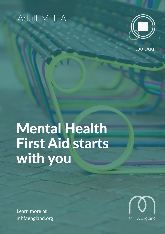# Adult MHFA



Two Day

# Mental Health First Aid starts with you

Learn more at mhfaengland.org